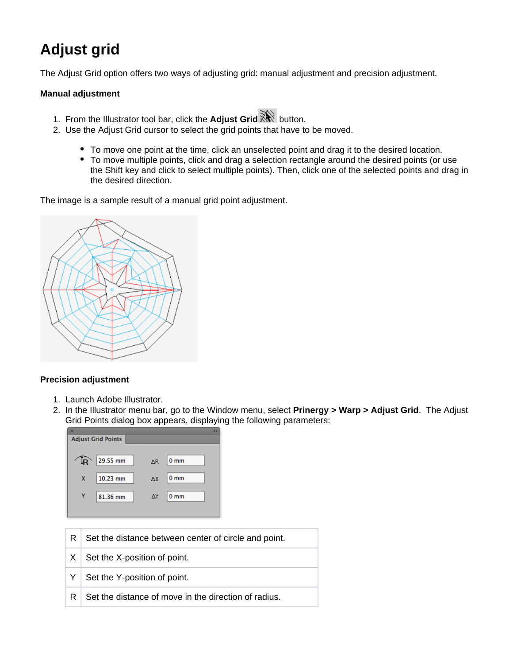## **Adjust grid**

The Adjust Grid option offers two ways of adjusting grid: manual adjustment and precision adjustment.

## **Manual adjustment**

- 1. From the Illustrator tool bar, click the **Adjust Grid** button.
- 2. Use the Adjust Grid cursor to select the grid points that have to be moved.
	- To move one point at the time, click an unselected point and drag it to the desired location.
	- To move multiple points, click and drag a selection rectangle around the desired points (or use the Shift key and click to select multiple points). Then, click one of the selected points and drag in the desired direction.

The image is a sample result of a manual grid point adjustment.



## **Precision adjustment**

- 1. Launch Adobe Illustrator.
- 2. In the Illustrator menu bar, go to the Window menu, select **Prinergy > Warp > Adjust Grid**. The Adjust Grid Points dialog box appears, displaying the following parameters:

|   | <b>Adjust Grid Points</b>                            |
|---|------------------------------------------------------|
|   | 29.55 mm<br>l <sub>R</sub><br>0 <sub>mm</sub><br>ΔR  |
|   | 10.23 mm<br>0 <sub>mm</sub><br>x<br>ΔX               |
| Y | ΔY<br>81.36 mm<br>0 <sub>mm</sub>                    |
|   |                                                      |
| R | Set the distance between center of circle and point. |
| X | Set the X-position of point.                         |
| Y | Set the Y-position of point.                         |
| R | Set the distance of move in the direction of radius. |